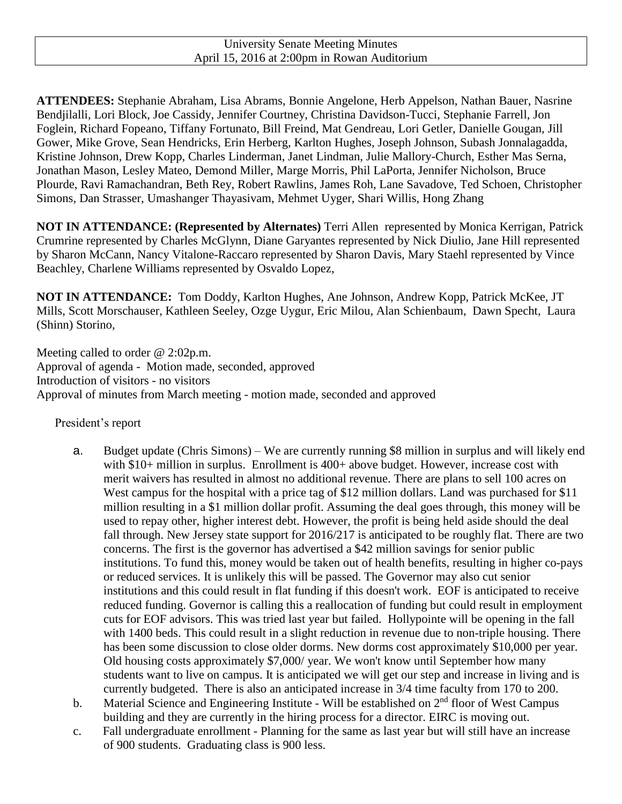**ATTENDEES:** Stephanie Abraham, Lisa Abrams, Bonnie Angelone, Herb Appelson, Nathan Bauer, Nasrine Bendjilalli, Lori Block, Joe Cassidy, Jennifer Courtney, Christina Davidson-Tucci, Stephanie Farrell, Jon Foglein, Richard Fopeano, Tiffany Fortunato, Bill Freind, Mat Gendreau, Lori Getler, Danielle Gougan, Jill Gower, Mike Grove, Sean Hendricks, Erin Herberg, Karlton Hughes, Joseph Johnson, Subash Jonnalagadda, Kristine Johnson, Drew Kopp, Charles Linderman, Janet Lindman, Julie Mallory-Church, Esther Mas Serna, Jonathan Mason, Lesley Mateo, Demond Miller, Marge Morris, Phil LaPorta, Jennifer Nicholson, Bruce Plourde, Ravi Ramachandran, Beth Rey, Robert Rawlins, James Roh, Lane Savadove, Ted Schoen, Christopher Simons, Dan Strasser, Umashanger Thayasivam, Mehmet Uyger, Shari Willis, Hong Zhang

**NOT IN ATTENDANCE: (Represented by Alternates)** Terri Allen represented by Monica Kerrigan, Patrick Crumrine represented by Charles McGlynn, Diane Garyantes represented by Nick Diulio, Jane Hill represented by Sharon McCann, Nancy Vitalone-Raccaro represented by Sharon Davis, Mary Staehl represented by Vince Beachley, Charlene Williams represented by Osvaldo Lopez,

**NOT IN ATTENDANCE:** Tom Doddy, Karlton Hughes, Ane Johnson, Andrew Kopp, Patrick McKee, JT Mills, Scott Morschauser, Kathleen Seeley, Ozge Uygur, Eric Milou, Alan Schienbaum, Dawn Specht, Laura (Shinn) Storino,

Meeting called to order @ 2:02p.m. Approval of agenda - Motion made, seconded, approved Introduction of visitors - no visitors Approval of minutes from March meeting - motion made, seconded and approved

President's report

- a. Budget update (Chris Simons) We are currently running \$8 million in surplus and will likely end with \$10+ million in surplus. Enrollment is 400+ above budget. However, increase cost with merit waivers has resulted in almost no additional revenue. There are plans to sell 100 acres on West campus for the hospital with a price tag of \$12 million dollars. Land was purchased for \$11 million resulting in a \$1 million dollar profit. Assuming the deal goes through, this money will be used to repay other, higher interest debt. However, the profit is being held aside should the deal fall through. New Jersey state support for 2016/217 is anticipated to be roughly flat. There are two concerns. The first is the governor has advertised a \$42 million savings for senior public institutions. To fund this, money would be taken out of health benefits, resulting in higher co-pays or reduced services. It is unlikely this will be passed. The Governor may also cut senior institutions and this could result in flat funding if this doesn't work. EOF is anticipated to receive reduced funding. Governor is calling this a reallocation of funding but could result in employment cuts for EOF advisors. This was tried last year but failed. Hollypointe will be opening in the fall with 1400 beds. This could result in a slight reduction in revenue due to non-triple housing. There has been some discussion to close older dorms. New dorms cost approximately \$10,000 per year. Old housing costs approximately \$7,000/ year. We won't know until September how many students want to live on campus. It is anticipated we will get our step and increase in living and is currently budgeted. There is also an anticipated increase in 3/4 time faculty from 170 to 200.
- b. Material Science and Engineering Institute Will be established on 2<sup>nd</sup> floor of West Campus building and they are currently in the hiring process for a director. EIRC is moving out.
- c. Fall undergraduate enrollment Planning for the same as last year but will still have an increase of 900 students. Graduating class is 900 less.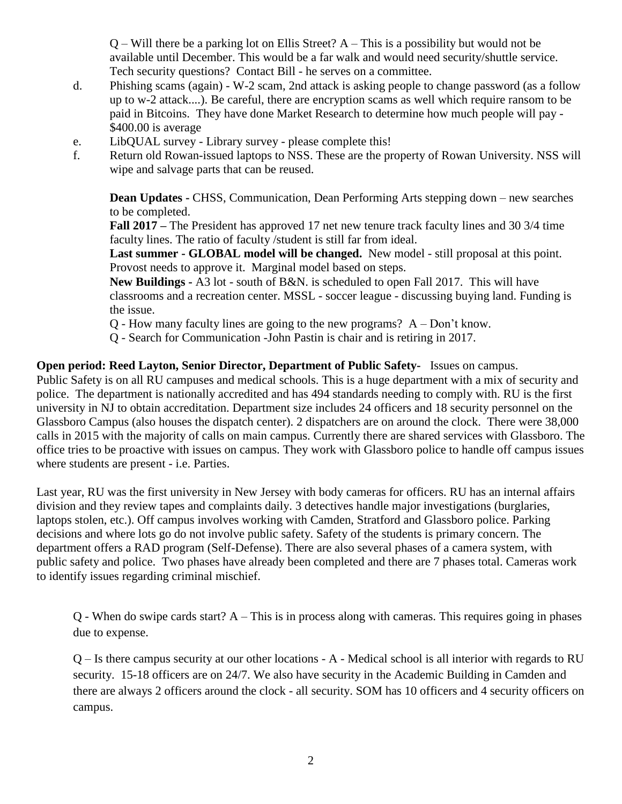$Q$  – Will there be a parking lot on Ellis Street?  $A$  – This is a possibility but would not be available until December. This would be a far walk and would need security/shuttle service. Tech security questions? Contact Bill - he serves on a committee.

- d. Phishing scams (again) W-2 scam, 2nd attack is asking people to change password (as a follow up to w-2 attack....). Be careful, there are encryption scams as well which require ransom to be paid in Bitcoins. They have done Market Research to determine how much people will pay - \$400.00 is average
- e. LibQUAL survey Library survey please complete this!
- f. Return old Rowan-issued laptops to NSS. These are the property of Rowan University. NSS will wipe and salvage parts that can be reused.

**Dean Updates -** CHSS, Communication, Dean Performing Arts stepping down – new searches to be completed.

**Fall 2017 –** The President has approved 17 net new tenure track faculty lines and 30 3/4 time faculty lines. The ratio of faculty /student is still far from ideal.

**Last summer - GLOBAL model will be changed.** New model - still proposal at this point. Provost needs to approve it. Marginal model based on steps.

**New Buildings -** A3 lot - south of B&N. is scheduled to open Fall 2017. This will have classrooms and a recreation center. MSSL - soccer league - discussing buying land. Funding is the issue.

- Q How many faculty lines are going to the new programs? A Don't know.
- Q Search for Communication -John Pastin is chair and is retiring in 2017.

**Open period: Reed Layton, Senior Director, Department of Public Safety-** Issues on campus. Public Safety is on all RU campuses and medical schools. This is a huge department with a mix of security and police. The department is nationally accredited and has 494 standards needing to comply with. RU is the first university in NJ to obtain accreditation. Department size includes 24 officers and 18 security personnel on the Glassboro Campus (also houses the dispatch center). 2 dispatchers are on around the clock. There were 38,000 calls in 2015 with the majority of calls on main campus. Currently there are shared services with Glassboro. The office tries to be proactive with issues on campus. They work with Glassboro police to handle off campus issues where students are present - i.e. Parties.

Last year, RU was the first university in New Jersey with body cameras for officers. RU has an internal affairs division and they review tapes and complaints daily. 3 detectives handle major investigations (burglaries, laptops stolen, etc.). Off campus involves working with Camden, Stratford and Glassboro police. Parking decisions and where lots go do not involve public safety. Safety of the students is primary concern. The department offers a RAD program (Self-Defense). There are also several phases of a camera system, with public safety and police. Two phases have already been completed and there are 7 phases total. Cameras work to identify issues regarding criminal mischief.

Q - When do swipe cards start? A – This is in process along with cameras. This requires going in phases due to expense.

Q – Is there campus security at our other locations - A - Medical school is all interior with regards to RU security. 15-18 officers are on 24/7. We also have security in the Academic Building in Camden and there are always 2 officers around the clock - all security. SOM has 10 officers and 4 security officers on campus.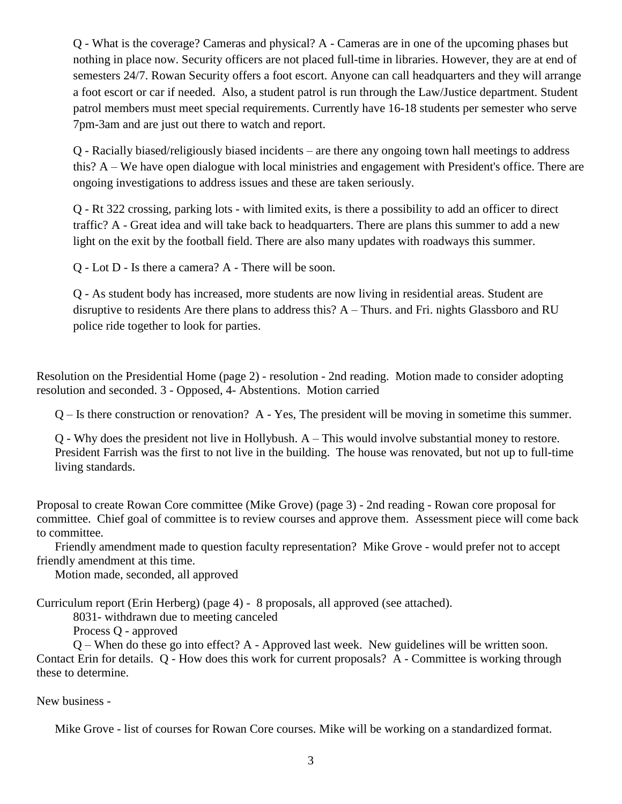Q - What is the coverage? Cameras and physical? A - Cameras are in one of the upcoming phases but nothing in place now. Security officers are not placed full-time in libraries. However, they are at end of semesters 24/7. Rowan Security offers a foot escort. Anyone can call headquarters and they will arrange a foot escort or car if needed. Also, a student patrol is run through the Law/Justice department. Student patrol members must meet special requirements. Currently have 16-18 students per semester who serve 7pm-3am and are just out there to watch and report.

Q - Racially biased/religiously biased incidents – are there any ongoing town hall meetings to address this? A – We have open dialogue with local ministries and engagement with President's office. There are ongoing investigations to address issues and these are taken seriously.

Q - Rt 322 crossing, parking lots - with limited exits, is there a possibility to add an officer to direct traffic? A - Great idea and will take back to headquarters. There are plans this summer to add a new light on the exit by the football field. There are also many updates with roadways this summer.

Q - Lot D - Is there a camera? A - There will be soon.

Q - As student body has increased, more students are now living in residential areas. Student are disruptive to residents Are there plans to address this? A – Thurs. and Fri. nights Glassboro and RU police ride together to look for parties.

Resolution on the Presidential Home (page 2) - resolution - 2nd reading. Motion made to consider adopting resolution and seconded. 3 - Opposed, 4- Abstentions. Motion carried

Q – Is there construction or renovation? A - Yes, The president will be moving in sometime this summer.

Q - Why does the president not live in Hollybush. A – This would involve substantial money to restore. President Farrish was the first to not live in the building. The house was renovated, but not up to full-time living standards.

Proposal to create Rowan Core committee (Mike Grove) (page 3) - 2nd reading - Rowan core proposal for committee. Chief goal of committee is to review courses and approve them. Assessment piece will come back to committee.

Friendly amendment made to question faculty representation? Mike Grove - would prefer not to accept friendly amendment at this time.

Motion made, seconded, all approved

Curriculum report (Erin Herberg) (page 4) - 8 proposals, all approved (see attached).

8031- withdrawn due to meeting canceled

Process Q - approved

Q – When do these go into effect? A - Approved last week. New guidelines will be written soon. Contact Erin for details. Q - How does this work for current proposals? A - Committee is working through these to determine.

New business -

Mike Grove - list of courses for Rowan Core courses. Mike will be working on a standardized format.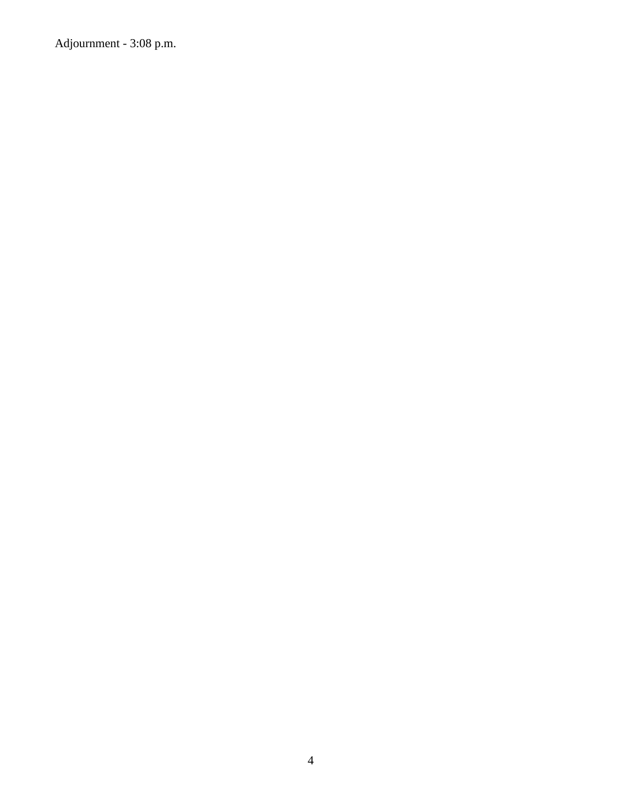Adjournment - 3:08 p.m.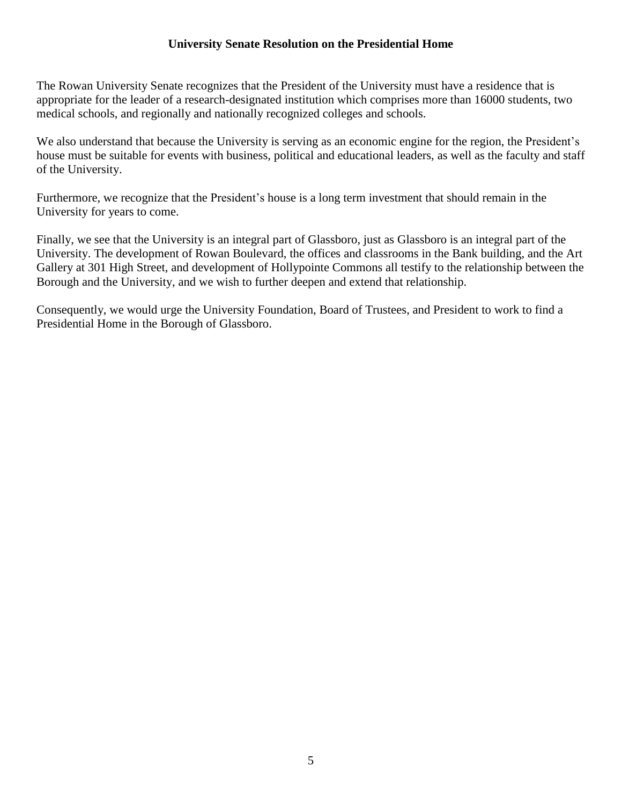## **University Senate Resolution on the Presidential Home**

The Rowan University Senate recognizes that the President of the University must have a residence that is appropriate for the leader of a research-designated institution which comprises more than 16000 students, two medical schools, and regionally and nationally recognized colleges and schools.

We also understand that because the University is serving as an economic engine for the region, the President's house must be suitable for events with business, political and educational leaders, as well as the faculty and staff of the University.

Furthermore, we recognize that the President's house is a long term investment that should remain in the University for years to come.

Finally, we see that the University is an integral part of Glassboro, just as Glassboro is an integral part of the University. The development of Rowan Boulevard, the offices and classrooms in the Bank building, and the Art Gallery at 301 High Street, and development of Hollypointe Commons all testify to the relationship between the Borough and the University, and we wish to further deepen and extend that relationship.

Consequently, we would urge the University Foundation, Board of Trustees, and President to work to find a Presidential Home in the Borough of Glassboro.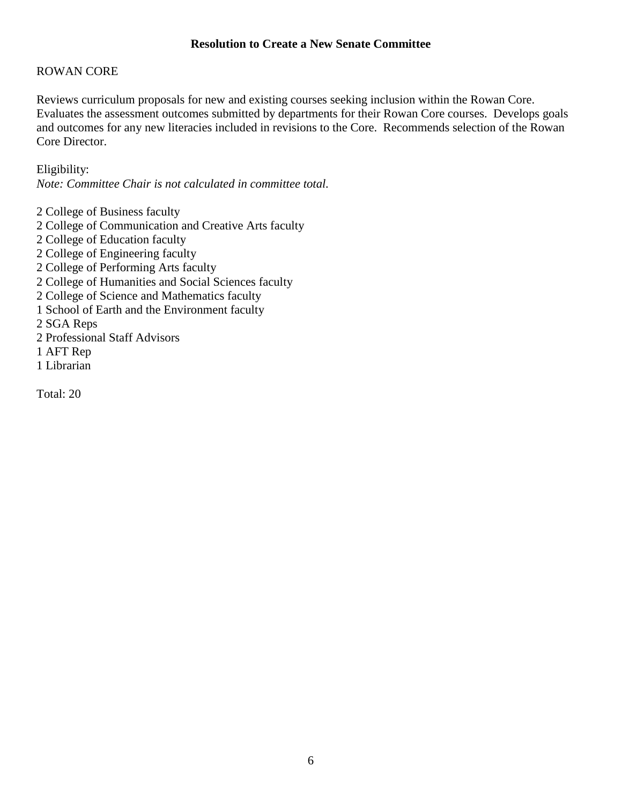## **Resolution to Create a New Senate Committee**

## ROWAN CORE

Reviews curriculum proposals for new and existing courses seeking inclusion within the Rowan Core. Evaluates the assessment outcomes submitted by departments for their Rowan Core courses. Develops goals and outcomes for any new literacies included in revisions to the Core. Recommends selection of the Rowan Core Director.

Eligibility:

*Note: Committee Chair is not calculated in committee total.*

 College of Business faculty College of Communication and Creative Arts faculty College of Education faculty College of Engineering faculty College of Performing Arts faculty College of Humanities and Social Sciences faculty College of Science and Mathematics faculty School of Earth and the Environment faculty 2 SGA Reps Professional Staff Advisors 1 AFT Rep Librarian

Total: 20